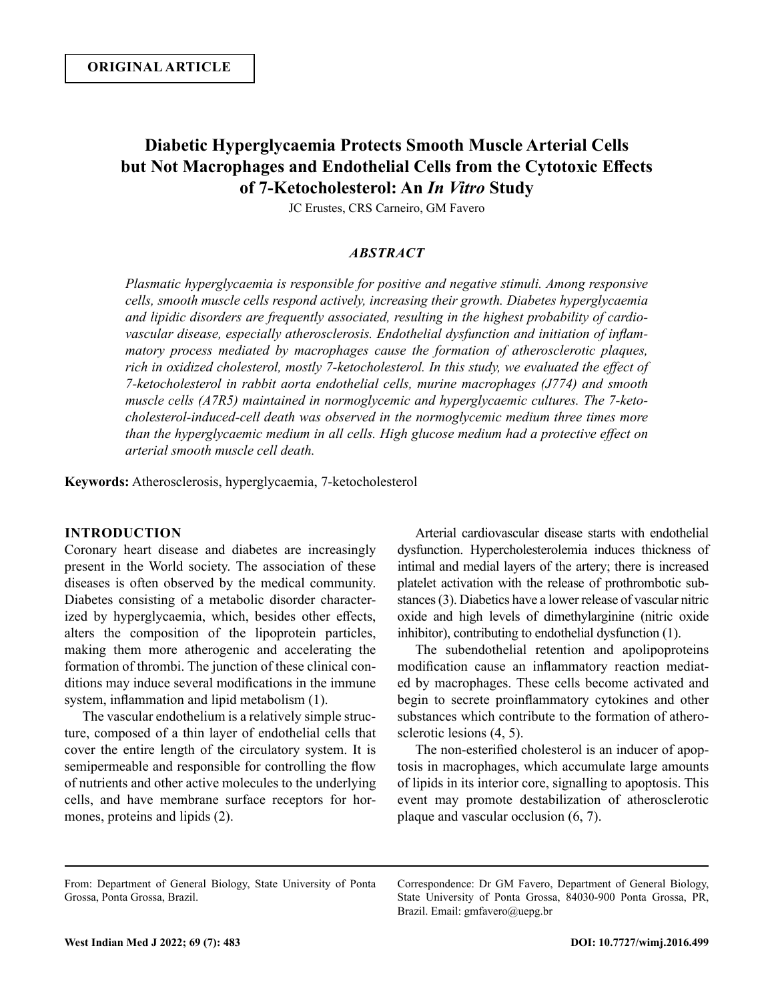# **Diabetic Hyperglycaemia Protects Smooth Muscle Arterial Cells but Not Macrophages and Endothelial Cells from the Cytotoxic Effects of 7-Ketocholesterol: An** *In Vitro* **Study**

JC Erustes, CRS Carneiro, GM Favero

## *ABSTRACT*

*Plasmatic hyperglycaemia is responsible for positive and negative stimuli. Among responsive cells, smooth muscle cells respond actively, increasing their growth. Diabetes hyperglycaemia and lipidic disorders are frequently associated, resulting in the highest probability of cardiovascular disease, especially atherosclerosis. Endothelial dysfunction and initiation of inflammatory process mediated by macrophages cause the formation of atherosclerotic plaques, rich in oxidized cholesterol, mostly 7-ketocholesterol. In this study, we evaluated the effect of 7-ketocholesterol in rabbit aorta endothelial cells, murine macrophages (J774) and smooth muscle cells (A7R5) maintained in normoglycemic and hyperglycaemic cultures. The 7-ketocholesterol-induced-cell death was observed in the normoglycemic medium three times more than the hyperglycaemic medium in all cells. High glucose medium had a protective effect on arterial smooth muscle cell death.* 

**Keywords:** Atherosclerosis, hyperglycaemia, 7-ketocholesterol

# **INTRODUCTION**

Coronary heart disease and diabetes are increasingly present in the World society. The association of these diseases is often observed by the medical community. Diabetes consisting of a metabolic disorder characterized by hyperglycaemia, which, besides other effects, alters the composition of the lipoprotein particles, making them more atherogenic and accelerating the formation of thrombi. The junction of these clinical conditions may induce several modifications in the immune system, inflammation and lipid metabolism (1).

The vascular endothelium is a relatively simple structure, composed of a thin layer of endothelial cells that cover the entire length of the circulatory system. It is semipermeable and responsible for controlling the flow of nutrients and other active molecules to the underlying cells, and have membrane surface receptors for hormones, proteins and lipids (2).

Arterial cardiovascular disease starts with endothelial dysfunction. Hypercholesterolemia induces thickness of intimal and medial layers of the artery; there is increased platelet activation with the release of prothrombotic substances (3). Diabetics have a lower release of vascular nitric oxide and high levels of dimethylarginine (nitric oxide inhibitor), contributing to endothelial dysfunction (1).

The subendothelial retention and apolipoproteins modification cause an inflammatory reaction mediated by macrophages. These cells become activated and begin to secrete proinflammatory cytokines and other substances which contribute to the formation of atherosclerotic lesions (4, 5).

The non-esterified cholesterol is an inducer of apoptosis in macrophages, which accumulate large amounts of lipids in its interior core, signalling to apoptosis. This event may promote destabilization of atherosclerotic plaque and vascular occlusion (6, 7).

Correspondence: Dr GM Favero, Department of General Biology, State University of Ponta Grossa, 84030-900 Ponta Grossa, PR, Brazil. Email: gmfavero@uepg.br

From: Department of General Biology, State University of Ponta Grossa, Ponta Grossa, Brazil.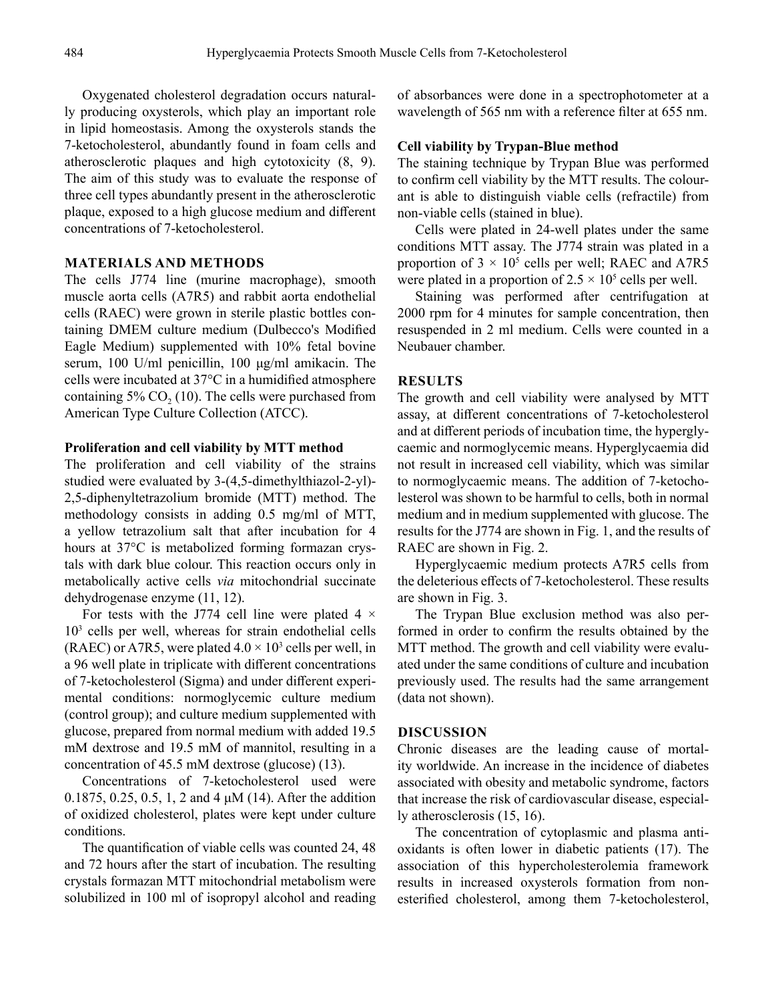Oxygenated cholesterol degradation occurs naturally producing oxysterols, which play an important role in lipid homeostasis. Among the oxysterols stands the 7-ketocholesterol, abundantly found in foam cells and atherosclerotic plaques and high cytotoxicity (8, 9). The aim of this study was to evaluate the response of three cell types abundantly present in the atherosclerotic plaque, exposed to a high glucose medium and different concentrations of 7-ketocholesterol.

# **MATERIALS AND METHODS**

The cells J774 line (murine macrophage), smooth muscle aorta cells (A7R5) and rabbit aorta endothelial cells (RAEC) were grown in sterile plastic bottles containing DMEM culture medium (Dulbecco's Modified Eagle Medium) supplemented with 10% fetal bovine serum, 100 U/ml penicillin, 100 μg/ml amikacin. The cells were incubated at 37°C in a humidified atmosphere containing  $5\%$  CO<sub>2</sub> (10). The cells were purchased from American Type Culture Collection (ATCC).

# **Proliferation and cell viability by MTT method**

The proliferation and cell viability of the strains studied were evaluated by 3-(4,5-dimethylthiazol-2-yl)- 2,5-diphenyltetrazolium bromide (MTT) method. The methodology consists in adding 0.5 mg/ml of MTT, a yellow tetrazolium salt that after incubation for 4 hours at 37°C is metabolized forming formazan crystals with dark blue colour. This reaction occurs only in metabolically active cells *via* mitochondrial succinate dehydrogenase enzyme (11, 12).

For tests with the J774 cell line were plated 4  $\times$ 103 cells per well, whereas for strain endothelial cells (RAEC) or A7R5, were plated  $4.0 \times 10^3$  cells per well, in a 96 well plate in triplicate with different concentrations of 7-ketocholesterol (Sigma) and under different experimental conditions: normoglycemic culture medium (control group); and culture medium supplemented with glucose, prepared from normal medium with added 19.5 mM dextrose and 19.5 mM of mannitol, resulting in a concentration of 45.5 mM dextrose (glucose) (13).

Concentrations of 7-ketocholesterol used were 0.1875, 0.25, 0.5, 1, 2 and 4 μM (14). After the addition of oxidized cholesterol, plates were kept under culture conditions.

The quantification of viable cells was counted 24, 48 and 72 hours after the start of incubation. The resulting crystals formazan MTT mitochondrial metabolism were solubilized in 100 ml of isopropyl alcohol and reading of absorbances were done in a spectrophotometer at a wavelength of 565 nm with a reference filter at 655 nm.

#### **Cell viability by Trypan-Blue method**

The staining technique by Trypan Blue was performed to confirm cell viability by the MTT results. The colourant is able to distinguish viable cells (refractile) from non-viable cells (stained in blue).

Cells were plated in 24-well plates under the same conditions MTT assay. The J774 strain was plated in a proportion of  $3 \times 10^5$  cells per well; RAEC and A7R5 were plated in a proportion of  $2.5 \times 10^5$  cells per well.

Staining was performed after centrifugation at 2000 rpm for 4 minutes for sample concentration, then resuspended in 2 ml medium. Cells were counted in a Neubauer chamber.

# **RESULTS**

The growth and cell viability were analysed by MTT assay, at different concentrations of 7-ketocholesterol and at different periods of incubation time, the hyperglycaemic and normoglycemic means. Hyperglycaemia did not result in increased cell viability, which was similar to normoglycaemic means. The addition of 7-ketocholesterol was shown to be harmful to cells, both in normal medium and in medium supplemented with glucose. The results for the J774 are shown in Fig. 1, and the results of RAEC are shown in Fig. 2.

Hyperglycaemic medium protects A7R5 cells from the deleterious effects of 7-ketocholesterol. These results are shown in Fig. 3.

The Trypan Blue exclusion method was also performed in order to confirm the results obtained by the MTT method. The growth and cell viability were evaluated under the same conditions of culture and incubation previously used. The results had the same arrangement (data not shown).

# **DISCUSSION**

Chronic diseases are the leading cause of mortality worldwide. An increase in the incidence of diabetes associated with obesity and metabolic syndrome, factors that increase the risk of cardiovascular disease, especially atherosclerosis (15, 16).

The concentration of cytoplasmic and plasma antioxidants is often lower in diabetic patients (17). The association of this hypercholesterolemia framework results in increased oxysterols formation from nonesterified cholesterol, among them 7-ketocholesterol,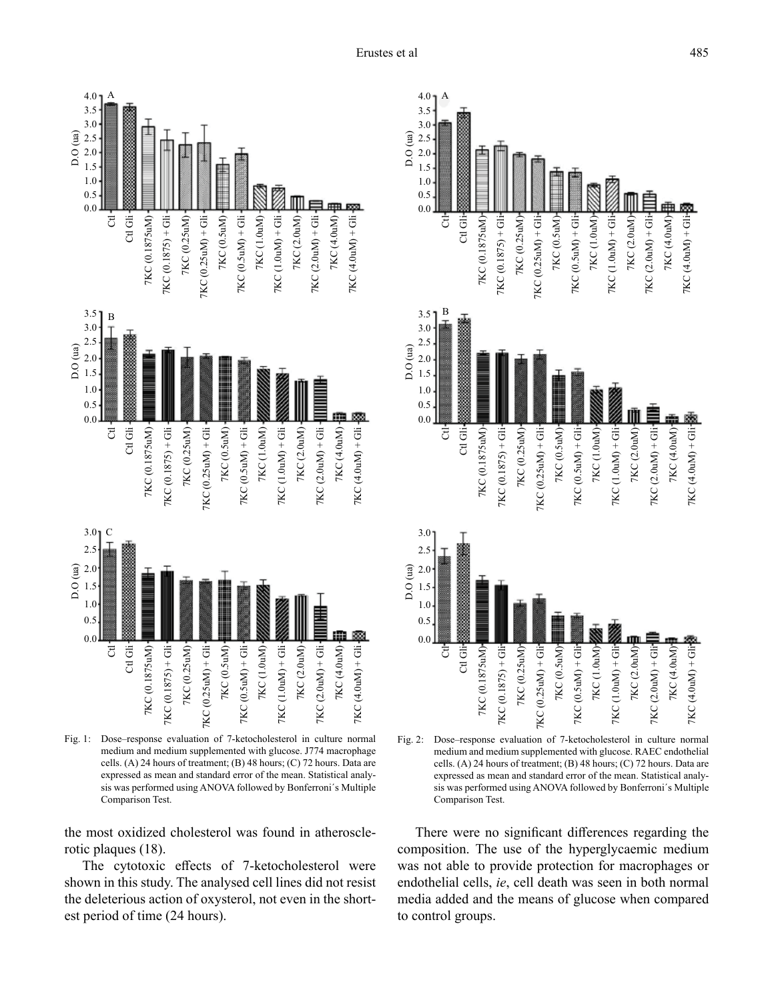

Fig. 1: Dose–response evaluation of 7-ketocholesterol in culture normal medium and medium supplemented with glucose. J774 macrophage cells. (A) 24 hours of treatment; (B) 48 hours; (C) 72 hours. Data are expressed as mean and standard error of the mean. Statistical analysis was performed using ANOVA followed by Bonferroni´s Multiple Comparison Test.

the most oxidized cholesterol was found in atherosclerotic plaques (18).

The cytotoxic effects of 7-ketocholesterol were shown in this study. The analysed cell lines did not resist the deleterious action of oxysterol, not even in the shortest period of time (24 hours).



There were no significant differences regarding the composition. The use of the hyperglycaemic medium was not able to provide protection for macrophages or endothelial cells, *ie*, cell death was seen in both normal media added and the means of glucose when compared to control groups.

7KC (2.0uM)

7KC (2.0uM)

7KC (2.0uM)

7KC (2.0uM)  $TKC (2.0uM) + Gli$ 7KC (4.0uM)-

7KC (2.0uM)

7KC (2.0uM)

7KC (4.0uM) 7KC (4.0uM) + Gli

7KC (4.0uM)

 $TKC$  (4.0uM) + Gli-

7KC (2.0uM) + Gli

 $TKC (2.0uM) + Gilr$ 

7KC (4.0uM) 7KC (4.0uM) + Gli

 $TKC(4.0uM) + Gli$ 

7KC (2.0uM) + Gli

7KC (2.0uM) + Gli

 $TKC (2.0uM) + Gli-$ 7KC (4.0uM)

7KC (4.0uM) 7KC (4.0uM) + Gli

 $PNC(4.0M) + GIH$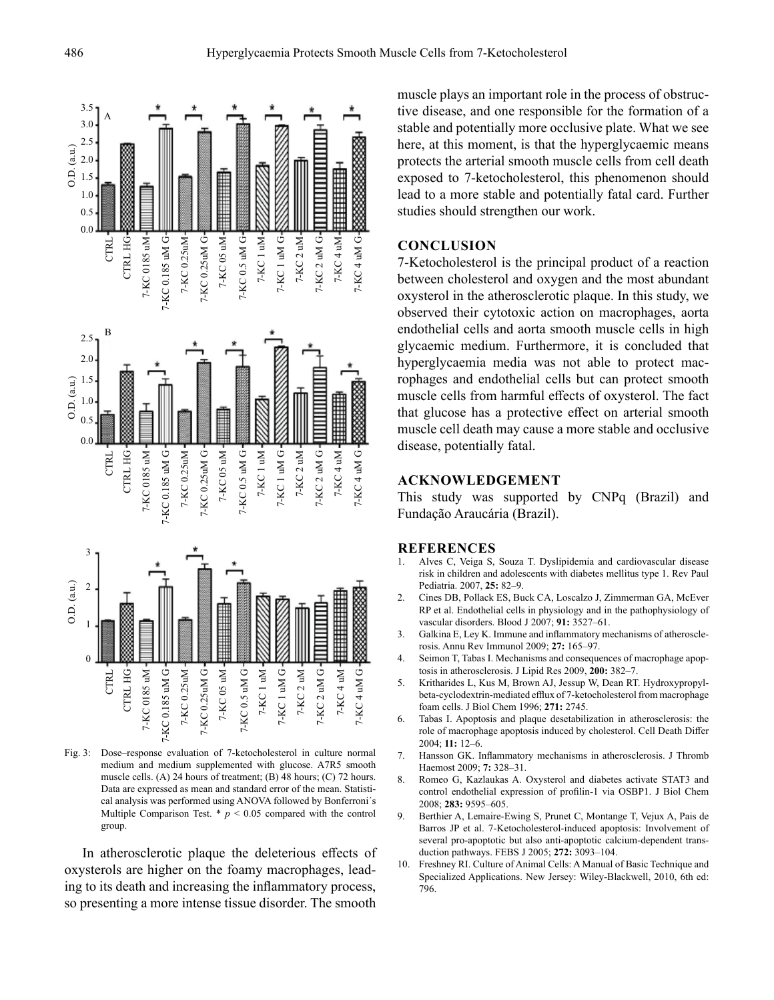



Fig. 3: Dose–response evaluation of 7-ketocholesterol in culture normal medium and medium supplemented with glucose. A7R5 smooth muscle cells. (A) 24 hours of treatment; (B) 48 hours; (C) 72 hours. Data are expressed as mean and standard error of the mean. Statistical analysis was performed using ANOVA followed by Bonferroni´s Multiple Comparison Test.  $*$   $p$  < 0.05 compared with the control group.

In atherosclerotic plaque the deleterious effects of oxysterols are higher on the foamy macrophages, leading to its death and increasing the inflammatory process, so presenting a more intense tissue disorder. The smooth

muscle plays an important role in the process of obstructive disease, and one responsible for the formation of a stable and potentially more occlusive plate. What we see here, at this moment, is that the hyperglycaemic means protects the arterial smooth muscle cells from cell death exposed to 7-ketocholesterol, this phenomenon should lead to a more stable and potentially fatal card. Further studies should strengthen our work.

## **CONCLUSION**

7-Ketocholesterol is the principal product of a reaction between cholesterol and oxygen and the most abundant oxysterol in the atherosclerotic plaque. In this study, we observed their cytotoxic action on macrophages, aorta endothelial cells and aorta smooth muscle cells in high glycaemic medium. Furthermore, it is concluded that hyperglycaemia media was not able to protect macrophages and endothelial cells but can protect smooth muscle cells from harmful effects of oxysterol. The fact that glucose has a protective effect on arterial smooth muscle cell death may cause a more stable and occlusive disease, potentially fatal.

## **ACKNOWLEDGEMENT**

This study was supported by CNPq (Brazil) and Fundação Araucária (Brazil).

#### **REFERENCES**

- 1. Alves C, Veiga S, Souza T. Dyslipidemia and cardiovascular disease risk in children and adolescents with diabetes mellitus type 1. Rev Paul Pediatria. 2007, **25:** 82–9.
- 2. Cines DB, Pollack ES, Buck CA, Loscalzo J, Zimmerman GA, McEver RP et al. Endothelial cells in physiology and in the pathophysiology of vascular disorders. Blood J 2007; **91:** 3527–61.
- 3. Galkina E, Ley K. Immune and inflammatory mechanisms of atherosclerosis. Annu Rev Immunol 2009; **27:** 165–97.
- 4. Seimon T, Tabas I. Mechanisms and consequences of macrophage apoptosis in atherosclerosis. J Lipid Res 2009, **200:** 382–7.
- 5. Kritharides L, Kus M, Brown AJ, Jessup W, Dean RT. Hydroxypropylbeta-cyclodextrin-mediated efflux of 7-ketocholesterol from macrophage foam cells. J Biol Chem 1996; **271:** 2745.
- 6. Tabas I. Apoptosis and plaque desetabilization in atherosclerosis: the role of macrophage apoptosis induced by cholesterol. Cell Death Differ 2004; **11:** 12–6.
- 7. Hansson GK. Inflammatory mechanisms in atherosclerosis. J Thromb Haemost 2009; **7:** 328–31.
- 8. Romeo G, Kazlaukas A. Oxysterol and diabetes activate STAT3 and control endothelial expression of profilin-1 via OSBP1. J Biol Chem 2008; **283:** 9595–605.
- 9. Berthier A, Lemaire-Ewing S, Prunet C, Montange T, Vejux A, Pais de Barros JP et al. 7-Ketocholesterol-induced apoptosis: Involvement of several pro-apoptotic but also anti-apoptotic calcium-dependent transduction pathways. FEBS J 2005; **272:** 3093–104.
- 10. Freshney RI. Culture of Animal Cells: A Manual of Basic Technique and Specialized Applications. New Jersey: Wiley-Blackwell, 2010, 6th ed: 796.